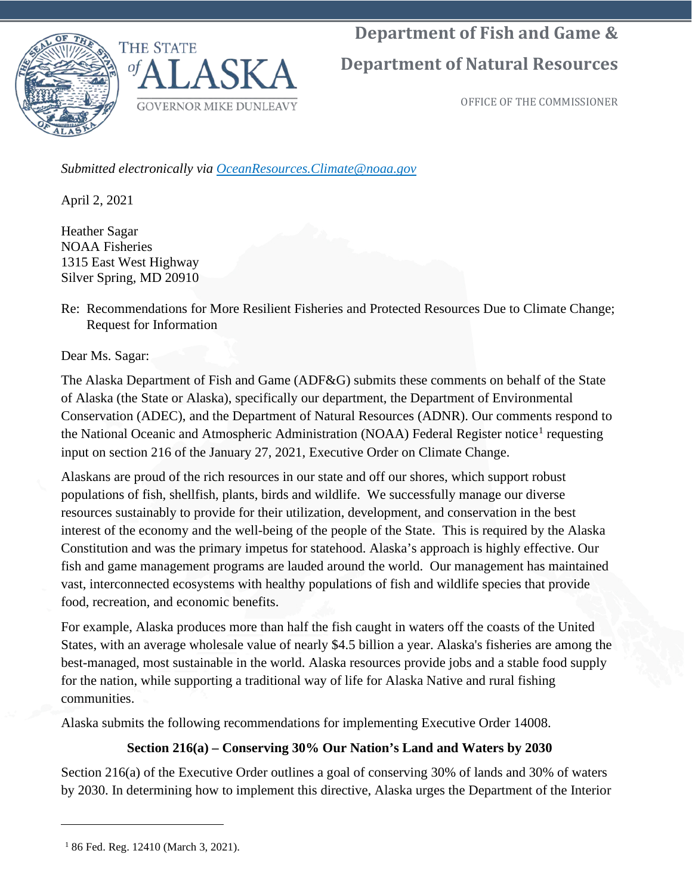

**Department of Natural Resources**

OFFICE OF THE COMMISSIONER

*Submitted electronically via OceanResources.Climate@noaa.gov*

April 2, 2021

Heather Sagar NOAA Fisheries 1315 East West Highway Silver Spring, MD 20910

Re: Recommendations for More Resilient Fisheries and Protected Resources Due to Climate Change; Request for Information

Dear Ms. Sagar:

The Alaska Department of Fish and Game (ADF&G) submits these comments on behalf of the State of Alaska (the State or Alaska), specifically our department, the Department of Environmental Conservation (ADEC), and the Department of Natural Resources (ADNR). Our comments respond to the National Oceanic and Atmospheric Administration (NOAA) Federal Register notice<sup>[1](#page-0-0)</sup> requesting input on section 216 of the January 27, 2021, Executive Order on Climate Change.

Alaskans are proud of the rich resources in our state and off our shores, which support robust populations of fish, shellfish, plants, birds and wildlife. We successfully manage our diverse resources sustainably to provide for their utilization, development, and conservation in the best interest of the economy and the well-being of the people of the State. This is required by the Alaska Constitution and was the primary impetus for statehood. Alaska's approach is highly effective. Our fish and game management programs are lauded around the world. Our management has maintained vast, interconnected ecosystems with healthy populations of fish and wildlife species that provide food, recreation, and economic benefits.

For example, Alaska produces more than half the fish caught in waters off the coasts of the United States, with an average wholesale value of nearly \$4.5 billion a year. Alaska's fisheries are among the best-managed, most sustainable in the world. Alaska resources provide jobs and a stable food supply for the nation, while supporting a traditional way of life for Alaska Native and rural fishing communities.

Alaska submits the following recommendations for implementing Executive Order 14008.

# **Section 216(a) – Conserving 30% Our Nation's Land and Waters by 2030**

Section 216(a) of the Executive Order outlines a goal of conserving 30% of lands and 30% of waters by 2030. In determining how to implement this directive, Alaska urges the Department of the Interior

<span id="page-0-0"></span><sup>1</sup> 86 Fed. Reg. 12410 (March 3, 2021).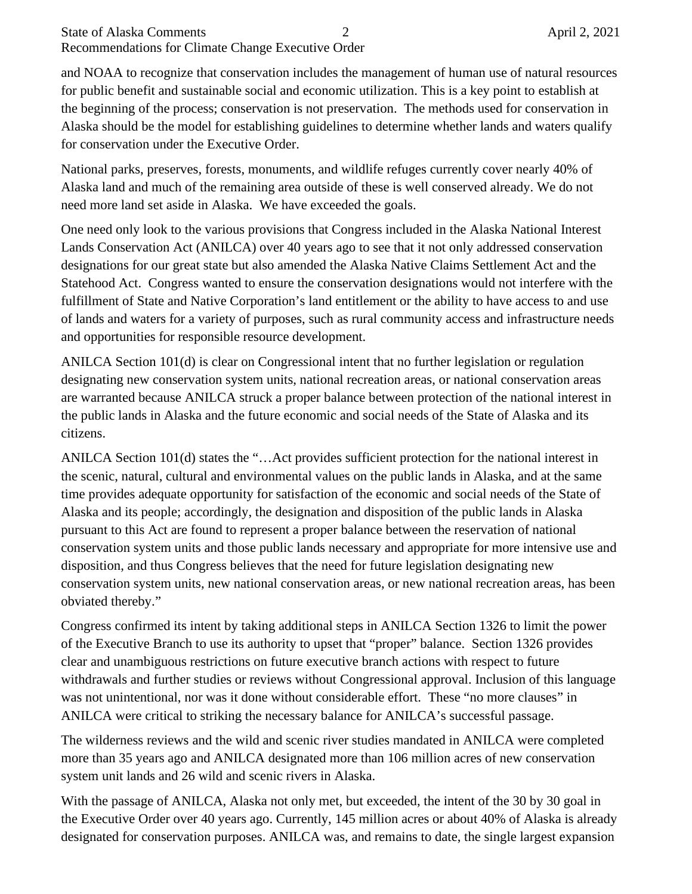## State of Alaska Comments 2 April 2, 2021 Recommendations for Climate Change Executive Order

and NOAA to recognize that conservation includes the management of human use of natural resources for public benefit and sustainable social and economic utilization. This is a key point to establish at the beginning of the process; conservation is not preservation. The methods used for conservation in Alaska should be the model for establishing guidelines to determine whether lands and waters qualify for conservation under the Executive Order.

National parks, preserves, forests, monuments, and wildlife refuges currently cover nearly 40% of Alaska land and much of the remaining area outside of these is well conserved already. We do not need more land set aside in Alaska. We have exceeded the goals.

One need only look to the various provisions that Congress included in the Alaska National Interest Lands Conservation Act (ANILCA) over 40 years ago to see that it not only addressed conservation designations for our great state but also amended the Alaska Native Claims Settlement Act and the Statehood Act. Congress wanted to ensure the conservation designations would not interfere with the fulfillment of State and Native Corporation's land entitlement or the ability to have access to and use of lands and waters for a variety of purposes, such as rural community access and infrastructure needs and opportunities for responsible resource development.

ANILCA Section 101(d) is clear on Congressional intent that no further legislation or regulation designating new conservation system units, national recreation areas, or national conservation areas are warranted because ANILCA struck a proper balance between protection of the national interest in the public lands in Alaska and the future economic and social needs of the State of Alaska and its citizens.

ANILCA Section 101(d) states the "…Act provides sufficient protection for the national interest in the scenic, natural, cultural and environmental values on the public lands in Alaska, and at the same time provides adequate opportunity for satisfaction of the economic and social needs of the State of Alaska and its people; accordingly, the designation and disposition of the public lands in Alaska pursuant to this Act are found to represent a proper balance between the reservation of national conservation system units and those public lands necessary and appropriate for more intensive use and disposition, and thus Congress believes that the need for future legislation designating new conservation system units, new national conservation areas, or new national recreation areas, has been obviated thereby."

Congress confirmed its intent by taking additional steps in ANILCA Section 1326 to limit the power of the Executive Branch to use its authority to upset that "proper" balance. Section 1326 provides clear and unambiguous restrictions on future executive branch actions with respect to future withdrawals and further studies or reviews without Congressional approval. Inclusion of this language was not unintentional, nor was it done without considerable effort. These "no more clauses" in ANILCA were critical to striking the necessary balance for ANILCA's successful passage.

The wilderness reviews and the wild and scenic river studies mandated in ANILCA were completed more than 35 years ago and ANILCA designated more than 106 million acres of new conservation system unit lands and 26 wild and scenic rivers in Alaska.

With the passage of ANILCA, Alaska not only met, but exceeded, the intent of the 30 by 30 goal in the Executive Order over 40 years ago. Currently, 145 million acres or about 40% of Alaska is already designated for conservation purposes. ANILCA was, and remains to date, the single largest expansion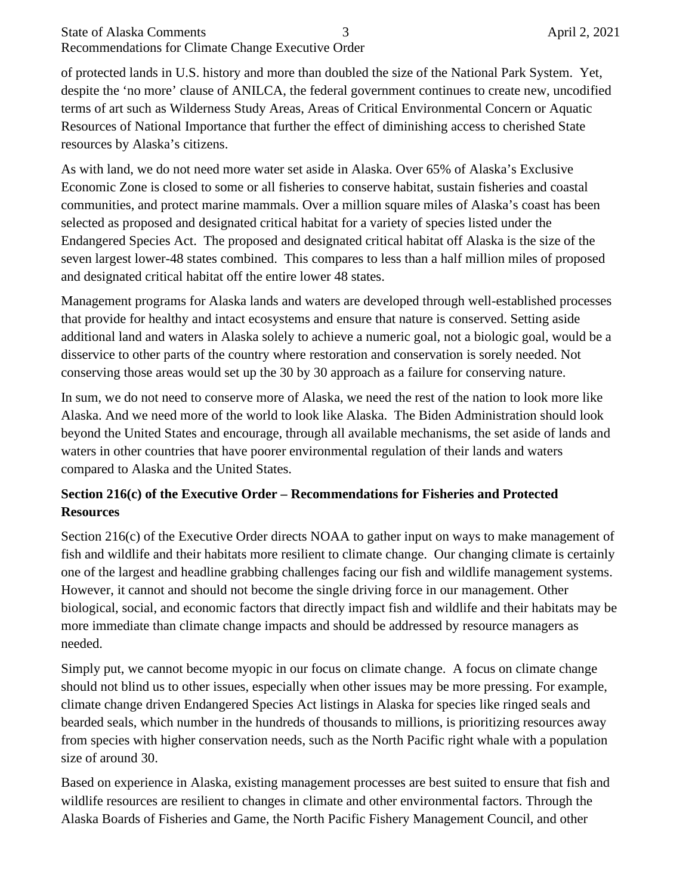## State of Alaska Comments 3 April 2, 2021 Recommendations for Climate Change Executive Order

of protected lands in U.S. history and more than doubled the size of the National Park System. Yet, despite the 'no more' clause of ANILCA, the federal government continues to create new, uncodified terms of art such as Wilderness Study Areas, Areas of Critical Environmental Concern or Aquatic Resources of National Importance that further the effect of diminishing access to cherished State resources by Alaska's citizens.

As with land, we do not need more water set aside in Alaska. Over 65% of Alaska's Exclusive Economic Zone is closed to some or all fisheries to conserve habitat, sustain fisheries and coastal communities, and protect marine mammals. Over a million square miles of Alaska's coast has been selected as proposed and designated critical habitat for a variety of species listed under the Endangered Species Act. The proposed and designated critical habitat off Alaska is the size of the seven largest lower-48 states combined. This compares to less than a half million miles of proposed and designated critical habitat off the entire lower 48 states.

Management programs for Alaska lands and waters are developed through well-established processes that provide for healthy and intact ecosystems and ensure that nature is conserved. Setting aside additional land and waters in Alaska solely to achieve a numeric goal, not a biologic goal, would be a disservice to other parts of the country where restoration and conservation is sorely needed. Not conserving those areas would set up the 30 by 30 approach as a failure for conserving nature.

In sum, we do not need to conserve more of Alaska, we need the rest of the nation to look more like Alaska. And we need more of the world to look like Alaska. The Biden Administration should look beyond the United States and encourage, through all available mechanisms, the set aside of lands and waters in other countries that have poorer environmental regulation of their lands and waters compared to Alaska and the United States.

# **Section 216(c) of the Executive Order – Recommendations for Fisheries and Protected Resources**

Section 216(c) of the Executive Order directs NOAA to gather input on ways to make management of fish and wildlife and their habitats more resilient to climate change. Our changing climate is certainly one of the largest and headline grabbing challenges facing our fish and wildlife management systems. However, it cannot and should not become the single driving force in our management. Other biological, social, and economic factors that directly impact fish and wildlife and their habitats may be more immediate than climate change impacts and should be addressed by resource managers as needed.

Simply put, we cannot become myopic in our focus on climate change. A focus on climate change should not blind us to other issues, especially when other issues may be more pressing. For example, climate change driven Endangered Species Act listings in Alaska for species like ringed seals and bearded seals, which number in the hundreds of thousands to millions, is prioritizing resources away from species with higher conservation needs, such as the North Pacific right whale with a population size of around 30.

Based on experience in Alaska, existing management processes are best suited to ensure that fish and wildlife resources are resilient to changes in climate and other environmental factors. Through the Alaska Boards of Fisheries and Game, the North Pacific Fishery Management Council, and other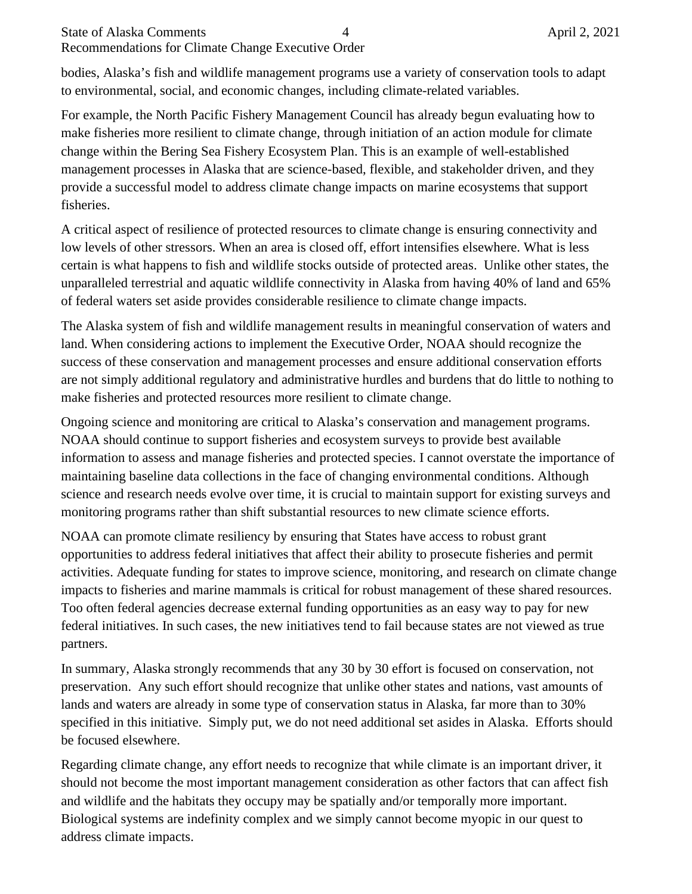## State of Alaska Comments 4 April 2, 2021 Recommendations for Climate Change Executive Order

bodies, Alaska's fish and wildlife management programs use a variety of conservation tools to adapt to environmental, social, and economic changes, including climate-related variables.

For example, the North Pacific Fishery Management Council has already begun evaluating how to make fisheries more resilient to climate change, through initiation of an action module for climate change within the Bering Sea Fishery Ecosystem Plan. This is an example of well-established management processes in Alaska that are science-based, flexible, and stakeholder driven, and they provide a successful model to address climate change impacts on marine ecosystems that support fisheries.

A critical aspect of resilience of protected resources to climate change is ensuring connectivity and low levels of other stressors. When an area is closed off, effort intensifies elsewhere. What is less certain is what happens to fish and wildlife stocks outside of protected areas. Unlike other states, the unparalleled terrestrial and aquatic wildlife connectivity in Alaska from having 40% of land and 65% of federal waters set aside provides considerable resilience to climate change impacts.

The Alaska system of fish and wildlife management results in meaningful conservation of waters and land. When considering actions to implement the Executive Order, NOAA should recognize the success of these conservation and management processes and ensure additional conservation efforts are not simply additional regulatory and administrative hurdles and burdens that do little to nothing to make fisheries and protected resources more resilient to climate change.

Ongoing science and monitoring are critical to Alaska's conservation and management programs. NOAA should continue to support fisheries and ecosystem surveys to provide best available information to assess and manage fisheries and protected species. I cannot overstate the importance of maintaining baseline data collections in the face of changing environmental conditions. Although science and research needs evolve over time, it is crucial to maintain support for existing surveys and monitoring programs rather than shift substantial resources to new climate science efforts.

NOAA can promote climate resiliency by ensuring that States have access to robust grant opportunities to address federal initiatives that affect their ability to prosecute fisheries and permit activities. Adequate funding for states to improve science, monitoring, and research on climate change impacts to fisheries and marine mammals is critical for robust management of these shared resources. Too often federal agencies decrease external funding opportunities as an easy way to pay for new federal initiatives. In such cases, the new initiatives tend to fail because states are not viewed as true partners.

In summary, Alaska strongly recommends that any 30 by 30 effort is focused on conservation, not preservation. Any such effort should recognize that unlike other states and nations, vast amounts of lands and waters are already in some type of conservation status in Alaska, far more than to 30% specified in this initiative. Simply put, we do not need additional set asides in Alaska. Efforts should be focused elsewhere.

Regarding climate change, any effort needs to recognize that while climate is an important driver, it should not become the most important management consideration as other factors that can affect fish and wildlife and the habitats they occupy may be spatially and/or temporally more important. Biological systems are indefinity complex and we simply cannot become myopic in our quest to address climate impacts.